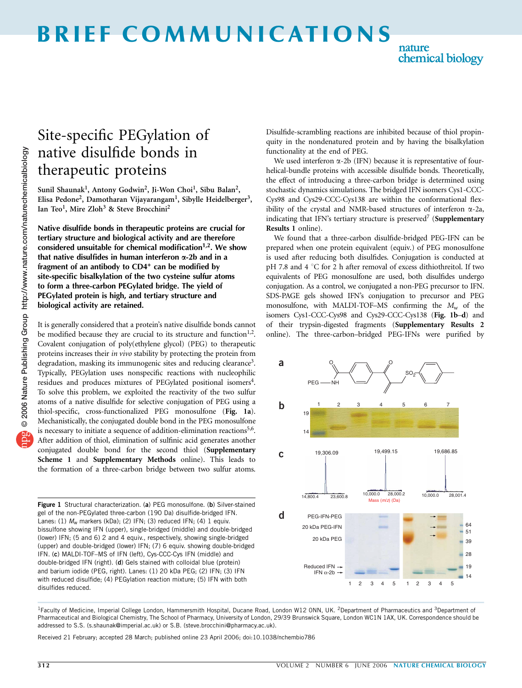BRIEF COMMUNICATIONS

## Site-specific PEGylation of native disulfide bonds in therapeutic proteins

Sunil Shaunak<sup>1</sup>, Antony Godwin<sup>2</sup>, Ji-Won Choi<sup>1</sup>, Sibu Balan<sup>2</sup>, Elisa Pedone<sup>2</sup>, Damotharan Vijayarangam<sup>1</sup>, Sibylle Heidelberger<sup>3</sup>, Ian Teo<sup>1</sup>, Mire Zloh<sup>3</sup> & Steve Brocchini<sup>2</sup>

Native disulfide bonds in therapeutic proteins are crucial for tertiary structure and biological activity and are therefore considered unsuitable for chemical modification $1/2$ . We show that native disulfides in human interferon *a*-2b and in a fragment of an antibody to  $CD4<sup>+</sup>$  can be modified by site-specific bisalkylation of the two cysteine sulfur atoms to form a three-carbon PEGylated bridge. The yield of PEGylated protein is high, and tertiary structure and biological activity are retained.

It is generally considered that a protein's native disulfide bonds cannot be modified because they are crucial to its structure and function<sup>1,2</sup>. Covalent conjugation of poly(ethylene glycol) (PEG) to therapeutic proteins increases their in vivo stability by protecting the protein from degradation, masking its immunogenic sites and reducing clearance<sup>3</sup>. Typically, PEGylation uses nonspecific reactions with nucleophilic residues and produces mixtures of PEGylated positional isomers<sup>4</sup>. To solve this problem, we exploited the reactivity of the two sulfur atoms of a native disulfide for selective conjugation of PEG using a thiol-specific, cross-functionalized PEG monosulfone (Fig. 1a). Mechanistically, the conjugated double bond in the PEG monosulfone is necessary to initiate a sequence of addition-elimination reactions<sup>5,6</sup>. After addition of thiol, elimination of sulfinic acid generates another conjugated double bond for the second thiol (Supplementary Scheme 1 and Supplementary Methods online). This leads to the formation of a three-carbon bridge between two sulfur atoms.

Figure 1 Structural characterization. (a) PEG monosulfone. (b) Silver-stained gel of the non-PEGylated three-carbon (190 Da) disulfide-bridged IFN. Lanes: (1)  $M_w$  markers (kDa); (2) IFN; (3) reduced IFN; (4) 1 equiv. bissulfone showing IFN (upper), single-bridged (middle) and double-bridged (lower) IFN; (5 and 6) 2 and 4 equiv., respectively, showing single-bridged (upper) and double-bridged (lower) IFN; (7) 6 equiv. showing double-bridged IFN. (c) MALDI-TOF–MS of IFN (left), Cys-CCC-Cys IFN (middle) and double-bridged IFN (right). (d) Gels stained with colloidal blue (protein) and barium iodide (PEG, right). Lanes: (1) 20 kDa PEG; (2) IFN; (3) IFN with reduced disulfide; (4) PEGylation reaction mixture; (5) IFN with both disulfides reduced.

Disulfide-scrambling reactions are inhibited because of thiol propinquity in the nondenatured protein and by having the bisalkylation functionality at the end of PEG.

nature

chemical biology

We used interferon  $\alpha$ -2b (IFN) because it is representative of fourhelical-bundle proteins with accessible disulfide bonds. Theoretically, the effect of introducing a three-carbon bridge is determined using stochastic dynamics simulations. The bridged IFN isomers Cys1-CCC-Cys98 and Cys29-CCC-Cys138 are within the conformational flexibility of the crystal and NMR-based structures of interferon  $\alpha$ -2a, indicating that IFN's tertiary structure is preserved<sup>7</sup> (Supplementary Results 1 online).

We found that a three-carbon disulfide-bridged PEG-IFN can be prepared when one protein equivalent (equiv.) of PEG monosulfone is used after reducing both disulfides. Conjugation is conducted at pH 7.8 and 4 °C for 2 h after removal of excess dithiothreitol. If two equivalents of PEG monosulfone are used, both disulfides undergo conjugation. As a control, we conjugated a non-PEG precursor to IFN. SDS-PAGE gels showed IFN's conjugation to precursor and PEG monosulfone, with MALDI-TOF-MS confirming the  $M_w$  of the isomers Cys1-CCC-Cys98 and Cys29-CCC-Cys138 (Fig. 1b–d) and of their trypsin-digested fragments (Supplementary Results 2 online). The three-carbon–bridged PEG-IFNs were purified by



<sup>1</sup>Faculty of Medicine, Imperial College London, Hammersmith Hospital, Ducane Road, London W12 ONN, UK. <sup>2</sup>Department of Pharmaceutics and <sup>3</sup>Department of Pharmaceutical and Biological Chemistry, The School of Pharmacy, University of London, 29/39 Brunswick Square, London WC1N 1AX, UK. Correspondence should be addressed to S.S. (s.shaunak@imperial.ac.uk) or S.B. (steve.brocchini@pharmacy.ac.uk).

Received 21 February; accepted 28 March; published online 23 April 2006; doi:10.1038/nchembio786